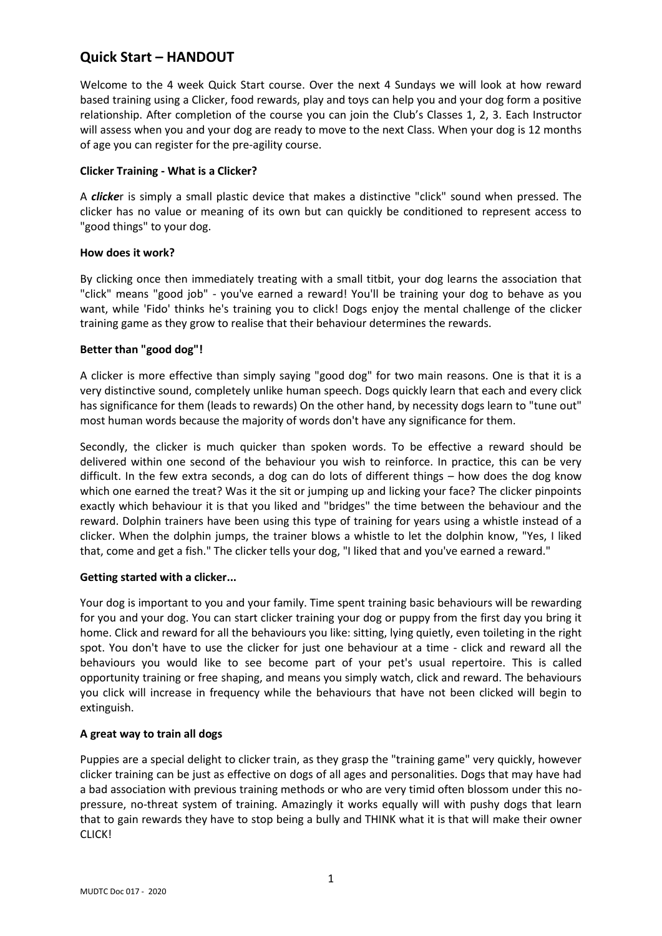# **Quick Start – HANDOUT**

Welcome to the 4 week Quick Start course. Over the next 4 Sundays we will look at how reward based training using a Clicker, food rewards, play and toys can help you and your dog form a positive relationship. After completion of the course you can join the Club's Classes 1, 2, 3. Each Instructor will assess when you and your dog are ready to move to the next Class. When your dog is 12 months of age you can register for the pre-agility course.

## **Clicker Training - What is a Clicker?**

A *clicke*r is simply a small plastic device that makes a distinctive "click" sound when pressed. The clicker has no value or meaning of its own but can quickly be conditioned to represent access to "good things" to your dog.

## **How does it work?**

By clicking once then immediately treating with a small titbit, your dog learns the association that "click" means "good job" - you've earned a reward! You'll be training your dog to behave as you want, while 'Fido' thinks he's training you to click! Dogs enjoy the mental challenge of the clicker training game as they grow to realise that their behaviour determines the rewards.

## **Better than "good dog"!**

A clicker is more effective than simply saying "good dog" for two main reasons. One is that it is a very distinctive sound, completely unlike human speech. Dogs quickly learn that each and every click has significance for them (leads to rewards) On the other hand, by necessity dogs learn to "tune out" most human words because the majority of words don't have any significance for them.

Secondly, the clicker is much quicker than spoken words. To be effective a reward should be delivered within one second of the behaviour you wish to reinforce. In practice, this can be very difficult. In the few extra seconds, a dog can do lots of different things – how does the dog know which one earned the treat? Was it the sit or jumping up and licking your face? The clicker pinpoints exactly which behaviour it is that you liked and "bridges" the time between the behaviour and the reward. Dolphin trainers have been using this type of training for years using a whistle instead of a clicker. When the dolphin jumps, the trainer blows a whistle to let the dolphin know, "Yes, I liked that, come and get a fish." The clicker tells your dog, "I liked that and you've earned a reward."

# **Getting started with a clicker...**

Your dog is important to you and your family. Time spent training basic behaviours will be rewarding for you and your dog. You can start clicker training your dog or puppy from the first day you bring it home. Click and reward for all the behaviours you like: sitting, lying quietly, even toileting in the right spot. You don't have to use the clicker for just one behaviour at a time - click and reward all the behaviours you would like to see become part of your pet's usual repertoire. This is called opportunity training or free shaping, and means you simply watch, click and reward. The behaviours you click will increase in frequency while the behaviours that have not been clicked will begin to extinguish.

# **A great way to train all dogs**

Puppies are a special delight to clicker train, as they grasp the "training game" very quickly, however clicker training can be just as effective on dogs of all ages and personalities. Dogs that may have had a bad association with previous training methods or who are very timid often blossom under this nopressure, no-threat system of training. Amazingly it works equally will with pushy dogs that learn that to gain rewards they have to stop being a bully and THINK what it is that will make their owner CLICK!